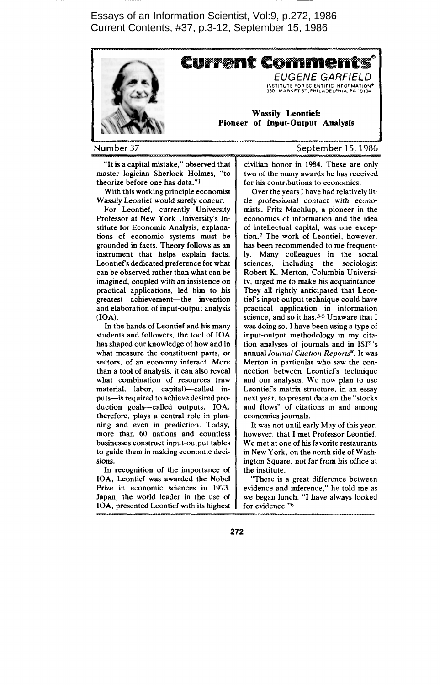Essays of an Information Scientist, Vol:9, p.272, 1986 Current Contents, #37, p.3-12, September 15, 1986



**Number 37**

"It is a capital mistake," observed that master logician Sherlock Hohnes, "to theorize before one has data."1

With this working principle economist Wassily Leontief would surely concur.

For Leontief, currently University Professor at New York University's Institute for Economic Analysis, explanations of economic systems must be grounded in facts. Theory follows as an instrument that helps explain facts. Leontief's dedicated preference for what can be observed rather than what can be imagined, coupled with an insistence on practical applications, led him to his greatest achievement—the invention and elaboration of input-output analysis (IOA).

In the hands of Leontief and his many students and followers, the tool of IOA has shaped our knowledge of how and in what measure the constituent parts, or sectors, of an economy interact. More than a tool of analysis, it can also reveal what combination of resources (raw material, labor, capital)—called inputs—is required to achieve desired production goals—called outputs. IOA, therefore, plays a central role in planning and even in prediction. Today, more than 60 nations and countless businesses construct input-output tables to guide them in making economic decisions.

In recognition of the importance of IOA, Leontief was awarded the Nobel Prize in economic sciences in 1973. Japan, the world leader in the use of IOA, presented Leontief with its highest **September 15,1986**

civilian honor in 1984. These are only two of the many awards he has received for his contributions to economics.

Over the years I have had relatively little professional contact with *econa* mists. Fritz Machlup, a pioneer in the economics of information and the idea of intellectual capital, was one exception.<sup>2</sup> The work of Leontief, however, has been recommended to me frequently. Many colleagues in the social sciences, including the sociologist Robert K. Merton, Columbia University, urged me to make his acquaintance. They all rightly anticipated that Leontiefs input-output technique could have practical application in information science, and so it has.<sup>3-5</sup> Unaware that I was doing so, I have been using a type of input-output methodology in my citation analyses of journals and in ISP's annual *Journal Citation ReportP.* It was Merton in particular who saw the connection between Leontiefs technique and our analyses. We now plan to use Leontiefs matrix structure, in an essay next year, to present data on the "stocks and flows" of citations in and among economics journals.

It was not until early May of this year, however, that I met Professor Leontief. We met at one of his favorite restaurants in New York, on the north side of Washington Square, not far from his office at the institute.

"There is a great difference between evidence and inference," he told me as we began lunch. "I have always looked for evidence."<sup>6</sup>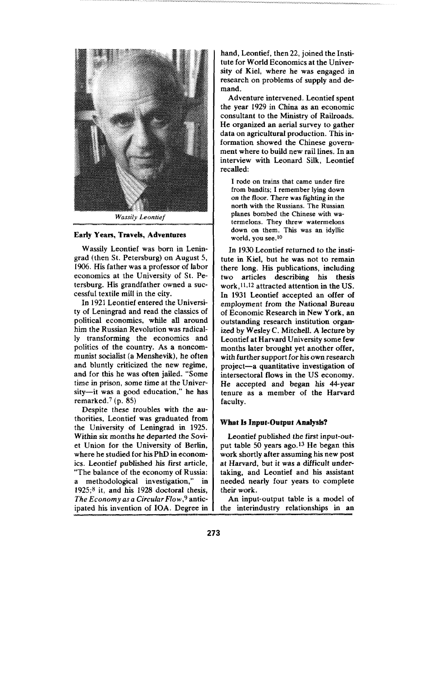

*WossilyLeontiej*

#### **Early Yenrs, Travels, Adventures**

Wassily Leontief was born in Leningrad (then St. Petersburg) on August 5, 1906. His father was a professor of labor economics at the University of St. Petersburg. His grandfather owned a successful textile mill in the city.

In 1921 Leontief entered the University of Leningrad and read the classics of political economics, while all around him the Russian Revolution was radically transforming the economics and politics of the country. As a noncommunist socialist (a Menshevik), he often and bluntly criticized the new regime, and for this he was often jailed. "Some time in prison, some time at the University—it was a good education," he has remarked. $7$  (p. 85)

Despite these troubles with the authorities, Leontief was graduated from the University of Leningrad in 1925. Within six months he departed the Soviet Union for the University of Berlin, where he studied for his PhD in economics. Leontief published his first article, "The balance of the economy of Russia: a methodological investigation," in  $1925;$ <sup>8</sup> it, and his 1928 doctoral thesis, *The Economy as a CircularFlo w,~*anticipated his invention of IOA. Degree in

hand, Leontief, then 22, joined the Institute for World Economics at the University of Kiel, where he was engaged in research on problems of supply and demand.

Adventure intervened. Leontief spent the year 1929 in China as an economic consultant to the Ministry of Railroads. He organized an aerial survey to gather data on agricultural production. This information **showed** the Chinese **government where to build new rail lines. In an interview with Leonard Silk, Leontief** recalled:

**I rode on trains that came under fire from bandhs; I remember lying down** *on* **the** *floor.* **There was fighting** *in* **the** north with **the** Russians. **The Russian planes bombed the Chinese with watermelons. They threw watermelons down on them. This was an idyllic world, you see. 10**

In 1930 Leontief returned to the institute in Kiel, but he was not to remain there long. His publications, including two articles describing his thesis work, <sup>11, 12</sup> attracted attention in the US. In 1931 Leontief accepted an offer of employment from the National Bureau of Economic Research in New York, an outstanding research institution organized by Wesley C. Mitchell. A lecture by Leontief at Harvard University some few months later brought yet another offer, with further support for his own research project—a quantitative investigation of intersectoral flows in the US economy. He accepted and began his 44-year tenure as a member of the Harvard faculty.

### What Is**Input-Output Anaiysfs?**

Leontief published the first input-output table 50 years ago.<sup>13</sup> He began this work shortly after assuming his new post at Harvard, but it was a difficult undertaking, and Leontief and his assistant needed nearly four years to complete their work.

An input-output table is a model of the interindustry relationships in an

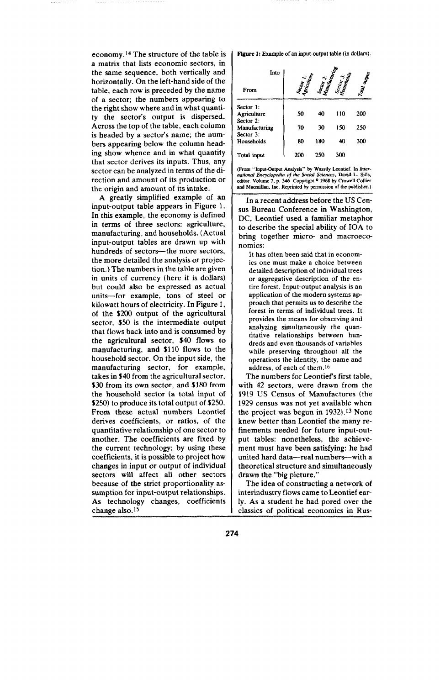economy. 14The structure of the table is a matrix that lists economic sectors, in the same sequence, both vertically and horizontally. On the left-hand side of the table, each row is preceded by the name of a sector; the numbers appearing to the right show where and in what quantity the sector's output is dispersed. Across the top of the table, each column is headed by a sector's name; the numbers appearing below the column heading show whence and in what quantity that sector derives its inputs. Thus, any sector can be analyzed in terms of the direction and amount of its production or the origin and amount of its intake.

A greatly simplified example of an input-output table appears in Figure 1. In this example, the economy is defined in terms of three sectors: agriculture, manufacturing, and households. (Actual input-output tables are drawn up with hundreds of sectors—the more sectors, the more detailed the analysis or projection.) The numbers in the table are given in units of currency (here it is dollars) but could also be expressed as actual units—for example, tons of steel or kilowatt hours of electricity. In Figure 1, of the \$200 output of the agricultural sector, \$50 is the intermediate output that flows back into and is consumed by the agricultural sector, \$40 flows to manufacturing, and \$110 flows to the household sector. On the input side, the manufacturing sector, for example, takes in \$40 from the agricultural sector, \$30 from its own sector, and \$180 from the household sector (a total input of \$250) to produce its total output of \$250. From these actual numbers Leontief derives coefficients, or ratios, of the quantitative relationship of one sector to another. The coefficients are fixed by the current technology; by using these coefficients, it is possible to project how changes in input or output of individual sectors will affect all other sectors because of the strict proportionality assumption for input-output relationships. As technology changes, coefficients change also. 15

**Figure 1:** Example of an input-output table (in dollars).

| Into          | ector I.<br><sup>Strout</sup> line |                  |          | andonia |
|---------------|------------------------------------|------------------|----------|---------|
| From          |                                    | <b>SCOT CRIM</b> | iccior 3 | Ì       |
| Sector 1:     |                                    |                  |          |         |
| Agriculture   | 50                                 | 40               | 110      | 200     |
| Sector 2:     |                                    |                  |          |         |
| Manufacturing | 70                                 | 30               | 150      | 250     |
| Sector 3:     |                                    |                  |          |         |
| Households    | 80                                 | 180              | 40       | 300     |
| Total input   | 200                                | 250              | 300      |         |

(From "Input-Output Analysis" by Wassily Leontief. In *Inter-*<br>*national Encyclopedia of the Social Sciences*, David L. Sills,<br>editor. Volume 7, p. 346. Copyright <sup>©</sup> 1968 by Crowell Collier and Macmillan, Inc. Reprinted by permission of the publisher.)

In a recent address before the US Census Bureau Conference in Washington, DC, Leontief used a familiar metaphor to describe the special ability of IOA to bring together micro- and macroeconomics:

**It has often been said that in economics one must make a choice between detailed description of individual trees or aggregative description of the entire forest. Input-output analysis is an application of the modern systems approach that permits us to describe the forest in terms of individual trees. It provides the means for observing and analyzing simultaneously the quantitative relationships between hundreds and even thousands of variables while preserving throughout all the operations the identity, the name and address, of each of them. lb**

**The numbers for Leontiefs first table, with 42 sectors, were drawn from the 1919 US Census of Manufactures (the 1929** census was not yet available when the project was begun in  $1932$ ). <sup>13</sup> None knew better than Leontief the many refinements needed for future input-output tables; nonetheless, the achievement must have been satisfying: he had united hard data—real numbers-with a theoretical structure and simultaneously drawn the "big picture."

The idea of constructing a network of interindustry flows came to Leontief early. As a student he had pored over the classics of political economics in Rus-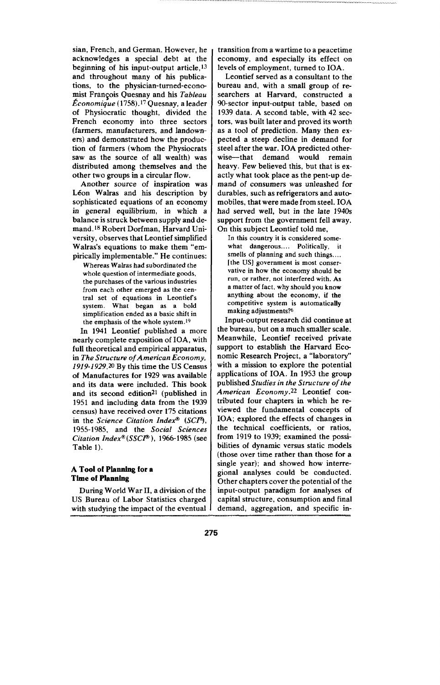sian, French, and German. However, he acknowledges a special debt at the beginning of his input-output article, 13 and throughout many of his publications, to the physician-tumed-economist Fran~ois Quesnay and his *Tableau Il?conomique (1758).17* Quesnay, a leader of Physiocratic thought, divided the French economy into three sectors (farmers, manufacturers, and landowners) and demonstrated how the production of farmers (whom the Physiocrats saw as the source of all wealth) was distributed among themselves and the other two groups in a circular flow.

Another source of inspiration was Léon Walras and his description by sophisticated equations of an economy in general equilibrium, in which a balance is struck between supply and de**mand. 18**Robert Dorfman, Harvard University, observes that Leontief simplified Walras's equations to make them "empirically implementable." He continues:

Whereas Walras had subordinated the whole question of intermediate goods, the purchases of the various industries from each other emerged as the central set of equations in LeontieFs system. What began as a bold simplification ended as a basic shift in the emphasis of the whole system. 19

In 1941 Leontief published a more nearly complete exposition of IOA, with full theoretical and empirical apparatus, in *The Structure of American Economy*, *1919-1929.20* By this time the US Census of Manufactures for 1929 was available and its data were included. This book and its second edition<sup>21</sup> (published in 1951 and including data from the 1939 census) have received over 175 citations in the *Science Citation Inde# (S@), 1955-1985,* and the *Social Sciences Citation Index@ (SSCP ), 1966-1985 (see* Table 1).

## **A Tool of Planning for a Time** of **Planning**

During World War II, a division of the US Bureau of Labor Statistics charged with studying the impact of the eventual I transition from a wartime to a peacetime economy, and especially its effect on levels of employment, turned to IOA.

Leontief served as a consultant to the bureau and, with a small group of researchers at Harvard, constructed a 90-sector input-output table, based on 1939 data. A second table, with 42 sectors, was built later and proved its worth as a tool of prediction. Many then expected a steep decline in demand for steel after the war. IOA predicted otherwise-that demand would remain heavy. Few believed this, but that is exactly what took place as the pent-up demand of consumers was unleashed for durables, such as refrigerators and automobiles, that were made from steel. IOA had served well, but in the late 1940s support from the government fell away. On this subject Leontief told me,

**In this country it is considered somewhat dangerous . . . . Politically, it smells of planning and such things . .. . [the US] government is most conservative in how the economy should be run, or rather, not interfered with. As a matter of fact, why should you know anything about the economy, if the competitive system is automaticaffy making adjustments?o**

**Input-output research** did continue at the bureau, but on a much smaller scale. Meanwhile, Leontief received private support to establish the Harvard Economic Research Project, a "laboratory" with a mission to explore the potential applications of IOA. In 1953 the group published *Studies in the Structure of the American Economy.zz* Leontief contributed four chapters in which he reviewed the fundamental concepts of IOA; explored the effects of changes in the technical coefficients, or ratios, from 1919 to 1939; examined the possibihties of dynamic versus static models (those over time rather than those for a single year); and showed how interregional analyses could be conducted. Other chapters cover the potential of the input-output paradigm for analyses of capital structure, consumption and final demand, aggregation, and specific in-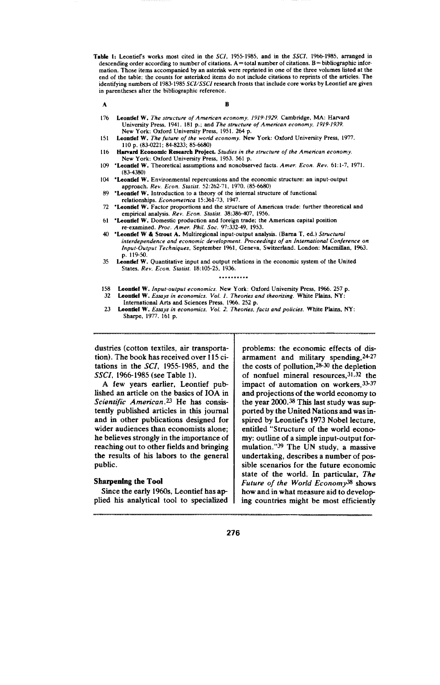- **Tabfe 1: Leontiefs works most cited in the SCI, 1955-1985, and in the SSCI, 1966-1985, arranged in descending order according to number of citations. A= total number of citations. B= bibliographic infor**mation. Those items accompanied by an asterisk were reprinted in one of the three volumes listed at the end of the table; the counts for asterisked items do not include citations to reprints of the articles. The **identifying numbers of 1983-1985 SC1/SSCI research fronts that include core works by Leontief are given in parentheses after the bibliographic reference.**
	- **A**
- **B**
- **176 Leontlef W.** *The strwcture of A men"con economy, 1919-1929.* **Cambridge, MA: Harvard** University Press, 1941. 181 p.; and *The structure of American economy, 1919-1935*<br>New York: Oxford University Press, 1951. 264 p.
- **151** Leontlef W. The future of the world economy. New York: Oxford University Press, 1977.<br>110 p. (83-0221; 84-8233; 85-6680)
- **116 Harvard Economfc Research Projeel. Studie\$** *in the structura of the Amen"can economy. New* **York: Oxford University Press, 1953.561 p.**
- **109 "Leontkat W. Theoretical assumptions and nonobserved facts.** *Amer.* **Econ.** *Rev.* **61:1-7, 1971. (83-4383)**
- **104 "Leontfef W. Environmental repercussions and the economic structure: an input-output approach.** *Rev. Econ. S(atist.* **52:262-71, 1970. (85-6680)**
- 89 **\*Leontief W.** Introduction to a theory of the internal structure of functions<br>relationships. *Econometrica* 15:361-73, 1947.
- 
- **72 \*Leontief W.** Factor proportions and the structure of American trade: further theoretical and **empirical analysis.** *Rev. Econ. Statist. 38:386-407,* **1956.**
- **61 'Leontfef W. Domestic production and foreign trade: the American capital position re-examined.** *Proc. Amer. Phil. Sot. 97:332-49, 1953.*
- **40 "Leomfef W & Stmut A. Multiregiorral input-output analysis, (Bama T, ed. ) Structuml** *interdependence and economic development. Proceedings of an International Conference on Irrput-Output Techrrique\$,* **September 1%1, Geneva, Switzerland. London: Macmiffan, 1963. p. 119-50.**
- **35 Leondef W. Quantitative input and output relations in the economic system of the United States. Rev. .Econ. Statist. 18:105-25, 1936.** ● **. . . . . . . . .**
- **158 Leontlaf W.** *Input-output economics. New York:* **Oxford University Press, 1966.257 p.**
	- **32 Leontfel W.** *Essays in economics. Vol. 1. Theories and theorizing.* **White Pfains, NY:** International Arts and Sciences Press, 1966. 252 p.<br>**Leontief W.** Essays in economics. Vol. 2. Theories, facts and policies. White Plains, NY
	- $23$ **Sharpe,** *1977. ~61* **p.**

dustries (cotton textiles, air transportation). The book has received over 115 citations in the  $SCI$ , 1955-1985, and the SSC1, 1966-1985 (see Table 1).

A few years earlier, Leontief published an article on the basics of IOA in *Scientific American.*<sup>23</sup> He has consistently published articles in this journal and in other publications designed for wider audiences than economists alone; he believes strongly in the importance of reaching out to other fields and bringing the results of his labors to the general public.

## Sharpening the **Tool**

Since the early 196Qs, Leontief has applied his analytical tool to specialized problems: the economic effects of disarmament and military spending, 24-27 the costs of pollution,  $28-30$  the depletion of nonfuel mineral resources,  $31,32$  the impact of automation on workers, 33-37 and projections of the world economy to the year 200Q.38 This last study was sup ported by the United Nations and was inspired by Leontiefs 1973 Nobel lecture, entitled "Structure of the world economy: outline of a simple input-output formulation. "39 The UN study, a massive undertaking, describes a number of possible scenarios for the future economic state of the world. In particular, *The Future of the World Economy38* shows how and in what measure aid to develop ing countries might be most efficiently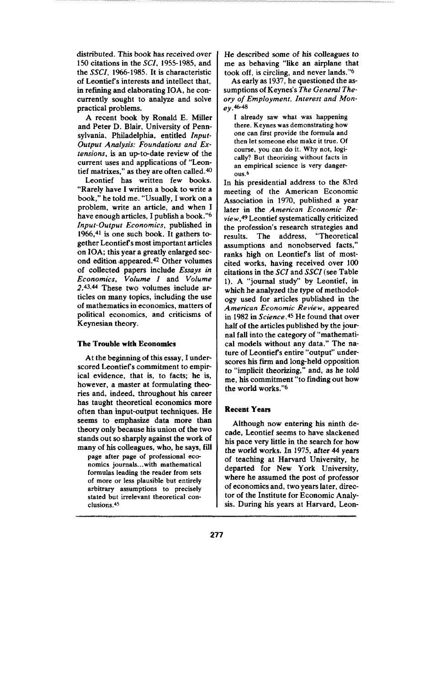distributed. This book has received over 150 citations in the SC1, 1955-1985, and the XXX, 1966-1985. It is characteristic of Leontief's interests and intellect that, in refining and elaborating IOA, he concurrently sought to analyze and solve practical problems.

A recent book by Ronald E. Miller and Peter D. Blair, University of Pennsylvania, Philadelphia, entitled *Input-Output Analysis: Foundations and Ex*tensions, is an up-to-date review of the current uses and applications of "Leontief matrixes," as they are often called. $40$ 

Leontief has written few books. "Rarely have I written a book to write a book," he told me. "Usually, I work on a problem, write an article, and when I have enough articles, I publish a book."b *Input-Output Economics,* published in 1966,41 is one such book. It gathers together Leontiefs most important articles on IOA; this year a greatly enlarged second edition appeared.<sup>42</sup> Other volumes of collected papers include *Essays in Economics, Vohzme 1* and *Volume* **2.43,44 These two Volutnes include ar**ticles on many topics, including the use of mathematics in economics, matters of political economics, and criticisms of Keynesian theory.

#### **The Trouble with Ecossomics**

At the beginning of this essay, I underscored Leontief's commitment to empirical evidence, that is, to facts; he is, however, a master at formulating theories and, indeed, throughout his career has taught theoretical economics more often than input-output techniques. He seems to emphasize data more than theory only because his union of the two stands out so sharply against the work of many of his colleagues, who, he says, fill

page after page of professional eco**nomics journals.. with mathematical formulas leading the reader from sets of more or less plausible but entirely arbitrary assumptions to precisely stated but irrelevant theoretical conclusions .45**

He described some of his colleagues to me as behaving "like an airplane that took off, is circling, and never lands."6

**As** early as 1937, he questioned the assumptions of Keynes's The General The*ory of Employment, Interest and Mon***ey .46-48**

I **already saw what was happening there. Keynes was demonstrating how one can first provide the formula and then let someone else make it true. Of course, you can do it. Why not, logically? But theorizing without facts in an empirical science is very danger-OUS.6**

**In his presidential address to the 83rd meeting of the American Economic Association in 1970, published a year** later in the *American Economic Review,@* Leontief systematically criticized the profession's research strategies and results. The address, "Theoretical assumptions and nonobserved facts, " ranks high on Leontiefs list of mostcited works, having received over 100 citations in the  $SCI$  and  $SSCI$  (see Table 1). A "journal study" by Leontief, in which he analyzed the type of methodology used for articles published in the *American Economic Review,* appeared in 1982 in *Science* **.45** He found that over half of the articles published by the journal fall into the category of "mathematical models without any data." The nature of Leontiefs entire "output" underscores his firm and long-held opposition to "implicit theorizing," and, as he told me, his commitment "to finding out how the world works."b

#### **Recent Years**

Although now entering his ninth decade, Leontief seems to have slackened his pace very little in the search for how the world works. In 1975, after 44 years of teaching at Harvard University, he departed for New York University, where he assumed the post of professor of economics and, two years later, director of the Institute for Economic Analysis. During his years at Harvard, Leon-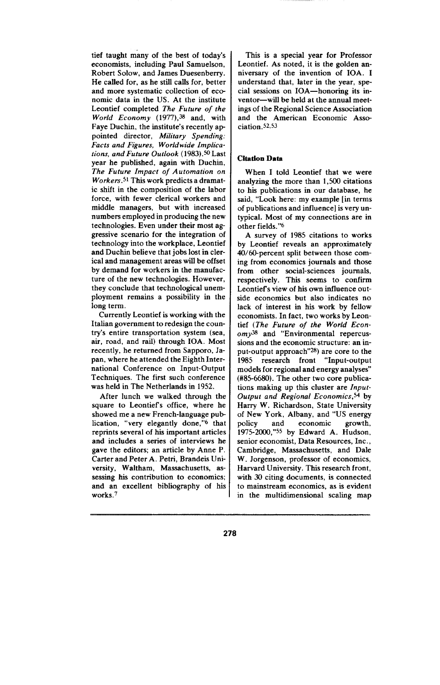tief taught many of the best of today's economists, including Paul Samuelson, Robert Solow, and James Duesenberry. He called for, as he still calls for, better and more systematic collection of economic data in the US. At the institute Leontief completed The *Future of the World Economy* (1977),<sup>38</sup> and, with Faye Duchin, the institute's recently ap pointed director, Military Spending: *Facts and Figures, Worldwide Implications, and Future Outlook* (1983).<sup>50</sup> Last year he published, again with Duchin, *The Future Impact of Automation on* Workers.<sup>51</sup> This work predicts a dramat**ic shift in the composition of the labor force, with fewer clerical workers and middle managers, but with increased numbers employed in producing the new technologies.** Even under their most aggressive scenario for the integration of technology into the workplace, Leontief and Duchin befieve that jobs lost in clerical and management areas will be offset by demand for workers in the manufacture of the new technologies. However, they conclude that technological unemployment remains a possibility in the long term.

Currently Leontief is working with the Italian government to redesign the country's entire transportation system (sea, air, road, and rail) through IOA. Most recently, he returned from Sapporo, Japan, where he attended the Eighth International Conference on Input-Output Techniques. The first such conference was held in The Netherlands in 1952.

After lunch we walked through the square to Leontiefs office, where he showed me a new French-language publication, "very elegantly done,"<sup>6</sup> that reprints several of his important articles and includes a series of interviews he gave the editors; an article by Anne P. Carter and Peter A. Petri, Brandeis University, Waltham, Massachusetts, assessing his contribution to economics; and an excellent bibliography of his works.<sup>7</sup>

This is a special year for Professor Leontief. As noted, it is the golden anniversary of the invention of IOA. I understand that, later in the year, special sessions on IOA—honoring its inventor—will be held at the annual meetings of the Regional Science Association and the American Economic Association. <sup>52, 53</sup>

# **Citation Data**

When I told Leontief that we were analyzing the more than 1,500 citations to his publications in our database, he said, "Look here: my example [in terms of publications and influence] is very untypical. Most of my connections are in other fields."G

A survey of 1985 citations to works by Leontief reveals an approximately 40/60-percent split between those coming from economics journals and those from other social-sciences journals, respectively. This seems to confirm Leontief's view of his own influence outside economics but also indicates no lack of interest in his work by fellow economists. In fact, two works by Leontief *(The Future of the World Economy~* and "Environmental repercussions and the economic structure: an input-output approach" $^{28}$ ) are core to the 1985 research front "Input-output models for regional and energy analyses" (#85-6680). The other two core publications making up this cluster are *Input-Output and Regional Economics*,<sup>54</sup> by Harry W. Richardson, State University of New York, Albany, and "US energy policy and economic growth, 1975-2000,"SS by Edward A. Hudson, senior economist, Data Resources, Inc., Cambridge, Massachusetts, and Dale W. Jorgenson, professor of economics, Harvard University. This research front, with 30 citing documents, is connected to mainstream economics, as is evident in the multidimensional scaling map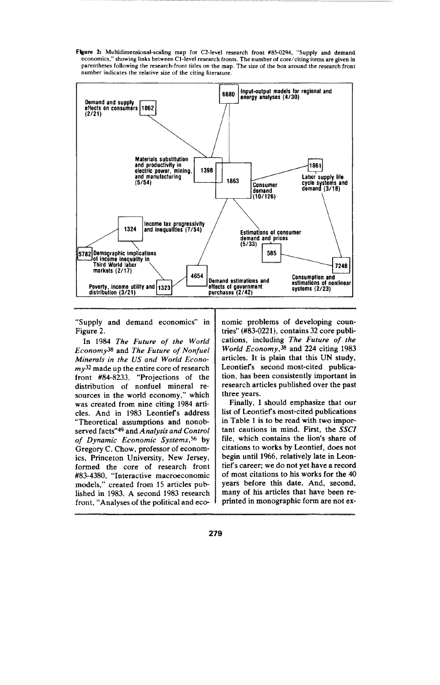**F@e 2: Multidirnensional-scafing map for C2-level research front #85-0294, "Supply and demand economic s," showing links between Cl-level research fronts. The number of core/citing items are given in parentheses folfowing the research-front titles on the map. The size of the box around the research front number indicates the relative size of the citing literature-**



"Supply and demand economics" in Figure 2.

In 1984 *The Future of the World Economy~a* and *The Future of Nonfuel Minemis in the US and Wor[d Econo* $mv^{32}$  made up the entire core of research **front #84-8233, "Projections of the distribution of nonfuel mineral re**sources in the world economy," which was created from nine citing 1984 articles. And in 1983 Leontief's address "Theoretical assumptions and nonobserved facts"<sup>49</sup> and *Analysis* and *Control* of *Dynamic Economic Systems*,<sup>56</sup> by Gregory C. Chow, professor of economics, Princeton University, New Jersey, formed the core of research front #83-4380, "Interactive macroeconomic models," created from 15 articles published in 1983. A second 1983 research front, "Analyses of the political and economic problems of developing countries"  $(H83-0221)$ , contains 32 core publications, including *The Future of the Worid Economy,3a* and 224 citing 1983 articles. It is plain that this UN study, Leontiefs second most-cited publication, has been consistently important in research articles published over the past three years.

Finally, I should emphasize that our list of Leontiefs most-cited publications in Table 1 is to be read with two important cautions in mind. First, the  $SSCI$ file, which contains the lion's share of citations to works by Leontief, does not begin until 1966, relatively late in Leon**tief's** career; we do not yet have a record of most citations to his works for the 40 years before this date. And, second, many of his articles that have been reprinted in monographic form are not ex-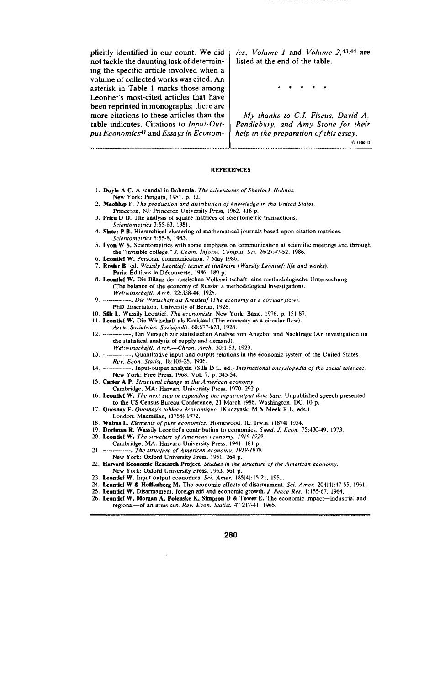plicitly identified in our count, We did not tackle the daunting task of determining the specific article involved when a volume of collected works was cited. An asterisk in Table 1 marks those among Leontief's most-cited articles that have been reprinted in monographs; there are more citations to these articles than the table indicates. Citations to *Input-Output Economics4~* and *Essays in Econom -*

*ics, Volume 1* and *Volume 2,* 43, 44 are listed at the end of the table.

\*\*\*\*\*

*My thanks to C.J. Fiscus, David A. Pendlebury, and Amy Stone for their help in the prepamtion of this essay.*

*C* 1986 ISI

#### **REFERENCES**

- **1. Doyfe A C. A scandal in Bohemia.** *The adventures of Sherlock Holmes New* **York: Penguin, 1981. p. 12.**
- **2. Machfup F.** *The production and dis(n"bution of knowledge in the f.lnitcd States.* **Prince!on, NJ: Princeton University Press, 1962.416 p.**
- **3. Price D D. The analysis of square matrices of scientometric transactions.** *.\$cicntornetrics* **3:55-63, 1981.**
- **4. Slater P B.** Hierarchical clustering of mathematical journals based upon citation matrices *Scientometrics 5:55-8, 1983. -*
- **5. Lyon W S. Scientometrics with some emphasis on communication at scientific meetings and through the "invisible college."** *J. Chem. Inform. Compur. Sci. 26(2):47-52, 1986.*
- **6. Leontfef W. Personal communication. 7 May 1986.**
- 7. Rosler B, ed. *Wassily Leontief: textes et itinéraire* (*Wassily Leontief: life and works*)<br>Paris: Éditions la Découverte, 1986. 189 p.
- **8. L-eontfaf W. Die Bifanz der russischen Volkswirtachaft: eine methcdologische Untersuchung (The balance of the economy of Russia: a methodological investigation).** *Welt wirtschaft[. Arch, 22:338-44, 1925.*
- **9,** *--------------- Die Wirtschaft ah Kreislauf (The economy as a circular flo w).*
- PhD dissertation, University of Berlin, 1928.<br>10. **Sfik L.** Wassily Leontief. *The economists*. New York: Basic, 1976. p. 151-87
- **11. Leontfaf W. Die Wirtschaft als Kreislauf (The economy as a circular flow).**
- *Arch. Sozialwtis. Soziolpolit. &1577-623, 1928.*
- **12,** *---------------* **Ein Vemuch zur statistischen Analyse von Angebot und Nachfrage (An investigation on the statistical analysis of supply and demand).**
	- *Weltwirtschaftl. A rch.—Chron. Arch. 30:1-53, 1929.*
- **13,** *---------------* **Quantitative input and output relations in the economic system of the United States.** *Rev. Econ. Stati\$t, 18:105-25, 1936.*
- **14,** *--------------* **Input-output analysis. (Sills D L, ed. )** *International encyclopedia of the social sciences. New* **York: Free Preaa, 1968. Vol.** *7.* **p, 345-54.**
- **15. Carter A P.** *Stmctuml change in the American economy.*
- **Cambridge, MA: Harvard University Press, 1970.292 p.**
- **16. Leontief W.** *The next step in expanding the input-output data base.* Unpublished speech presented **to the US Census Bureau Conference, 21 March 1986. Washington, DC. 10 p.**
- **17. Quesnay F. Quesrmyk** *tableau fconomique.* **(Kuczynski M & Meek R L, eds.)**
- **London: Macmiffan, (1758) 1972.**
- **18, Wdras L. Elements** *of pure* **economics. Homewood, IL: Irwin, ( 1874) 1954.**
- **19. Dorfnmn R, Was.sify Leontiefs contribution to economics.** *Swed. J. Econ. 75:430-49, 1973.*
- **20. Leontfef W.** *The structura of American economy, 1919-1929.*
- **Cambridge, MA: Harvard University Press, 1941.181 p.**
- **21. ---------------** *The structure of American economy, 1919- 19.?9.*
- *New York:* **Oxford University Press, 1951. 2&f p.**
- **22. Harvard Ecmmmfc Research PmJect.** *Studies* **in** *the structure of the A men'can economy. New York:* **Oxford University Preaa, 1953.561 p.**
- 
- **23. Leontfaf W. Input-output economics.** *Sci. Amer.* **185(4):15-21, 1951.**
- **24. Leontfaf W & Hoffenberg M. The economic effects of dkarnmment.** *Sci. Amer. 204(4):47-55, 1%1.*
- **25. Leont\$ef W. Disarmament, foreign aid and economic growth.** *J. Peace Res. 1:155-67,* **1964, 26. Leontfef W, Morgan A, Polemske K, Sfmpaon D & Tnwer E. The economic impact-industrial and**
- **regions!-of an arms cut,** *Rev.* **Econ. Statist. 47:217-41, 1965.**